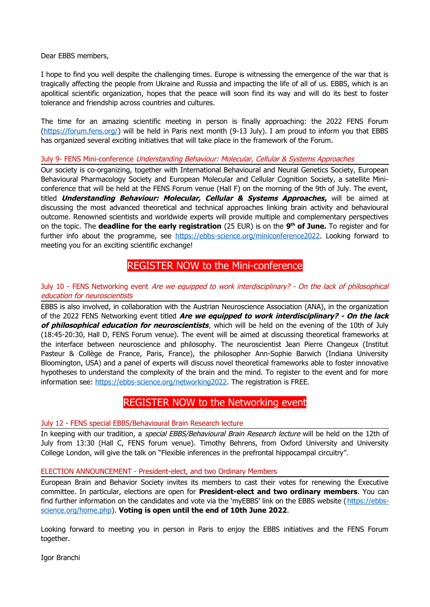Dear EBBS members,

I hope to find you well despite the challenging times. Europe is witnessing the emergence of the war that is tragically affecting the people from Ukraine and Russia and impacting the life of all of us. EBBS, which is an apolitical scientific organization, hopes that the peace will soon find its way and will do its best to foster tolerance and friendship across countries and cultures.

The time for an amazing scientific meeting in person is finally approaching: the 2022 FENS Forum (https://forum.fens.org/) will be held in Paris next month (9-13 July). I am proud to inform you that EBBS has organized several exciting initiatives that will take place in the framework of the Forum.

July 9- FENS Mini-conference Understanding Behaviour: Molecular, Cellular & Systems Approaches

Our society is co-organizing, together with International Behavioural and Neural Genetics Society, European Behavioural Pharmacology Society and European Molecular and Cellular Cognition Society, a satellite Miniconference that will be held at the FENS Forum venue (Hall F) on the morning of the 9th of July. The event, titled **Understanding Behaviour: Molecular, Cellular & Systems Approaches,** will be aimed at discussing the most advanced theoretical and technical approaches linking brain activity and behavioural outcome. Renowned scientists and worldwide experts will provide multiple and complementary perspectives on the topic. The **deadline for the early registration** (25 EUR) is on the **9 th of June.** To register and for further info about the programme, see<https://ebbs-science.org/miniconference2022>. Looking forward to meeting you for an exciting scientific exchange!

# [REGISTER NOW](https://ebbs-science.org/miniconference2022) to the Mini-conference

### July 10 - FENS Networking event Are we equipped to work interdisciplinary? - On the lack of philosophical education for neuroscientists

EBBS is also involved, in collaboration with the Austrian Neuroscience Association (ANA), in the organization of the 2022 FENS Networking event titled **Are we equipped to work interdisciplinary? - On the lack of philosophical education for neuroscientists**, which will be held on the evening of the 10th of July (18:45-20:30, Hall D, FENS Forum venue). The event will be aimed at discussing theoretical frameworks at the interface between neuroscience and philosophy. The neuroscientist Jean Pierre Changeux (Institut Pasteur & Collège de France, Paris, France), the philosopher Ann-Sophie Barwich (Indiana University Bloomington, USA) and a panel of experts will discuss novel theoretical frameworks able to foster innovative hypotheses to understand the complexity of the brain and the mind. To register to the event and for more information see: <https://ebbs-science.org/networking2022>. The registration is FREE.

## [REGISTER NOW](https://ebbs-science.org/networking2022) to the Networking event

#### July 12 - FENS special EBBS/Behavioural Brain Research lecture

In keeping with our tradition, a special EBBS/Behavioural Brain Research lecture will be held on the 12th of July from 13:30 (Hall C, FENS forum venue). Timothy Behrens, from Oxford University and University College London, will give the talk on "Flexible inferences in the prefrontal hippocampal circuitry".

#### ELECTION ANNOUNCEMENT - President-elect, and two Ordinary Members

European Brain and Behavior Society invites its members to cast their votes for renewing the Executive committee. In particular, elections are open for **President-elect and two ordinary members**. You can find further information on the candidates and vote via the 'myEBBS' link on the EBBS website ([https://ebbs](https://ebbs-science.org/home.php)[science.org/home.php\)](https://ebbs-science.org/home.php). **Voting is open until the end of 10th June 2022**.

Looking forward to meeting you in person in Paris to enjoy the EBBS initiatives and the FENS Forum together.

Igor Branchi